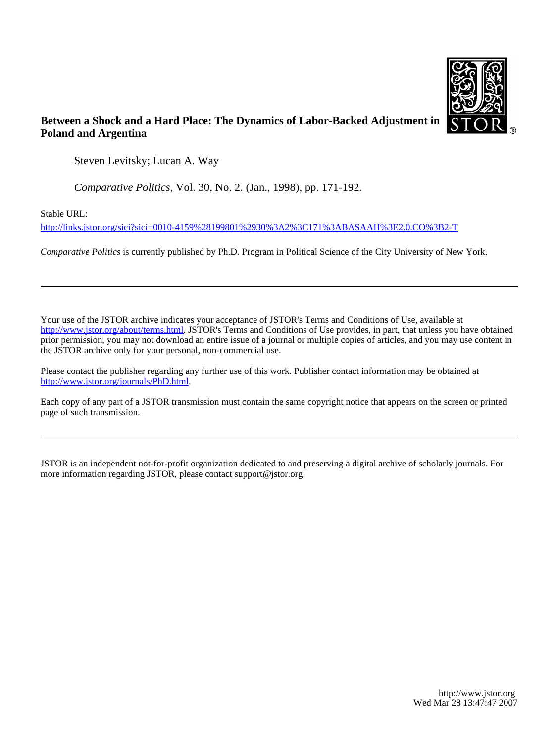

# **Between a Shock and a Hard Place: The Dynamics of Labor-Backed Adjustment in Poland and Argentina**

Steven Levitsky; Lucan A. Way

*Comparative Politics*, Vol. 30, No. 2. (Jan., 1998), pp. 171-192.

Stable URL:

<http://links.jstor.org/sici?sici=0010-4159%28199801%2930%3A2%3C171%3ABASAAH%3E2.0.CO%3B2-T>

*Comparative Politics* is currently published by Ph.D. Program in Political Science of the City University of New York.

Your use of the JSTOR archive indicates your acceptance of JSTOR's Terms and Conditions of Use, available at [http://www.jstor.org/about/terms.html.](http://www.jstor.org/about/terms.html) JSTOR's Terms and Conditions of Use provides, in part, that unless you have obtained prior permission, you may not download an entire issue of a journal or multiple copies of articles, and you may use content in the JSTOR archive only for your personal, non-commercial use.

Please contact the publisher regarding any further use of this work. Publisher contact information may be obtained at <http://www.jstor.org/journals/PhD.html>.

Each copy of any part of a JSTOR transmission must contain the same copyright notice that appears on the screen or printed page of such transmission.

JSTOR is an independent not-for-profit organization dedicated to and preserving a digital archive of scholarly journals. For more information regarding JSTOR, please contact support@jstor.org.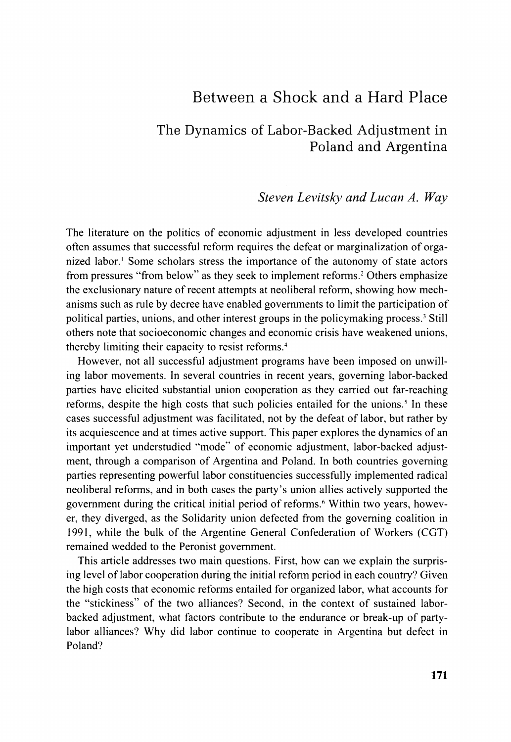# Between a Shock and a Hard Place

# The Dynamics of Labor-Backed Adjustment in Poland and Argentina

## *Steven Levitsky and Lucan A. Way*

The literature on the politics of economic adjustment in less developed countries often assumes that successful reform requires the defeat or marginalization of organized labor.' Some scholars stress the importance of the autonomy of state actors from pressures "from below" as they seek to implement reforms.<sup>2</sup> Others emphasize the exclusionary nature of recent attempts at neoliberal reform, showing how mechanisms such as rule by decree have enabled governments to limit the participation of political parties, unions, and other interest groups in the policymaking process.' Still others note that socioeconomic changes and economic crisis have weakened unions, thereby limiting their capacity to resist reforms. $4$ 

However, not all successful adjustment programs have been imposed on unwilling labor movements. In several countries in recent years, governing labor-backed parties have elicited substantial union cooperation as they carried out far-reaching reforms, despite the high costs that such policies entailed for the unions.' In these cases successful adjustment was facilitated, not by the defeat of labor, but rather by its acquiescence and at times active support. This paper explores the dynamics of an important yet understudied "mode" of economic adjustment, labor-backed adjustment, through a comparison of Argentina and Poland. In both countries governing parties representing powerful labor constituencies successfully implemented radical neoliberal reforms, and in both cases the party's union allies actively supported the government during the critical initial period of reforms.<sup>6</sup> Within two years, however, they diverged, as the Solidarity union defected from the governing coalition in 1991, while the bulk of the Argentine General Confederation of Workers (CGT) remained wedded to the Peronist government.

This article addresses two main questions. First, how can we explain the surprising level of labor cooperation during the initial reform period in each country? Given the high costs that economic refoms entailed for organized labor, what accounts for the "stickiness" of the two alliances? Second, in the context of sustained laborbacked adjustment, what factors contribute to the endurance or break-up of partylabor alliances? Why did labor continue to cooperate in Argentina but defect in Poland?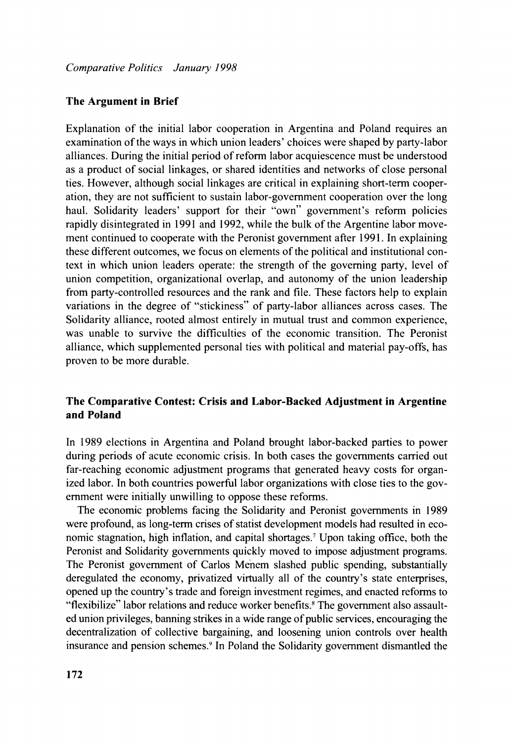### **The Argument in Brief**

Explanation of the initial labor cooperation in Argentina and Poland requires an examination of the ways in which union leaders' choices were shaped by party-labor alliances. During the initial period of reform labor acquiescence must be understood as a product of social linkages, or shared identities and networks of close personal ties. However, although social linkages are critical in explaining short-term cooperation, they are not sufficient to sustain labor-government cooperation over the long haul. Solidarity leaders' support for their "own" government's reform policies rapidly disintegrated in 1991 and 1992, while the bulk of the Argentine labor movement continued to cooperate with the Peronist government after 1991. In explaining these different outcomes, we focus on elements of the political and institutional context in which union leaders operate: the strength of the governing party, level of union competition, organizational overlap, and autonomy of the union leadership from party-controlled resources and the rank and file. These factors help to explain variations in the degree of "stickiness" of party-labor alliances across cases. The Solidarity alliance, rooted almost entirely in mutual trust and common experience, was unable to survive the difficulties of the economic transition. The Peronist alliance, which supplemented personal ties with political and material pay-offs, has proven to be more durable.

## **The Comparative Contest: Crisis and Labor-Backed Adjustment in Argentine and Poland**

In 1989 elections in Argentina and Poland brought labor-backed parties to power during periods of acute economic crisis. In both cases the governments carried out far-reaching economic adjustment programs that generated heavy costs for organized labor. In both countries powerful labor organizations with close ties to the government were initially unwilling to oppose these reforms.

The economic problems facing the Solidarity and Peronist governments in 1989 were profound, as long-term crises of statist development models had resulted in economic stagnation, high inflation, and capital shortages.' Upon taking office, both the Peronist and Solidarity governments quickly moved to impose adjustment programs. The Peronist government of Carlos Menem slashed public spending, substantially deregulated the economy, privatized virtually all of the country's state enterprises, opened up the country's trade and foreign investment regimes, and enacted reforms to "flexibilize" labor relations and reduce worker benefits.<sup>8</sup> The government also assaulted union privileges, banning strikes in a wide range of public services, encouraging the decentralization of collective bargaining, and loosening union controls over health insurance and pension schemes.' In Poland the Solidarity government dismantled the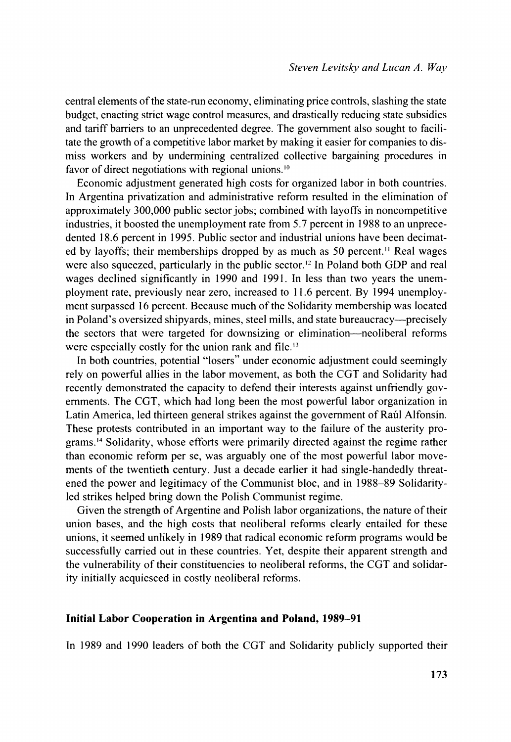central elements of the state-run economy, eliminating price controls, slashing the state budget, enacting strict wage control measures, and drastically reducing state subsidies and tariff barriers to an unprecedented degree. The govemment also sought to facilitate the growth of a competitive labor market by making it easier for companies to dismiss workers and by undermining centralized collective bargaining procedures in favor of direct negotiations with regional unions.<sup>10</sup>

Economic adjustment generated high costs for organized labor in both countries. In Argentina privatization and administrative reform resulted in the elimination of approximately 300,000 public sector jobs; combined with layoffs in noncompetitive industries, it boosted the unemployment rate from 5.7 percent in 1988 to an unprecedented 18.6 percent in 1995. Public sector and industrial unions have been decimated by layoffs; their memberships dropped by as much as 50 percent." Real wages were also squeezed, particularly in the public sector.<sup>12</sup> In Poland both GDP and real wages declined significantly in 1990 and 1991. In less than two years the unemployment rate, previously near zero, increased to 11.6 percent. By 1994 unemployment surpassed 16 percent. Because much of the Solidarity membership was located in Poland's oversized shipyards, mines, steel mills, and state bureaucracy-precisely the sectors that were targeted for downsizing or elimination-neoliberal reforms were especially costly for the union rank and file.<sup>13</sup>

In both countries, potential "losers" under economic adjustment could seemingly rely on powerful allies in the labor movement, as both the CGT and Solidarity had recently demonstrated the capacity to defend their interests against unfriendly governments. The CGT, which had long been the most powerful labor organization in Latin America, led thirteen general strikes against the govemment of Raul Alfonsin. These protests contributed in an important way to the failure of the austerity programs.14 Solidarity, whose efforts were primarily directed against the regime rather than economic reform per se, was arguably one of the most powerful labor movements of the twentieth century. Just a decade earlier it had single-handedly threatened the power and legitimacy of the Communist bloc, and in 1988-89 Solidarityled strikes helped bring down the Polish Communist regime.

Given the strength of Argentine and Polish labor organizations, the nature of their union bases, and the high costs that neoliberal reforms clearly entailed for these unions, it seemed unlikely in 1989 that radical economic reform programs would be successfully carried out in these countries. Yet, despite their apparent strength and the vulnerability of their constituencies to neoliberal reforms, the CGT and solidarity initially acquiesced in costly neoliberal reforms.

### **Initial Labor Cooperation in Argentina and Poland, 1989-91**

In 1989 and 1990 leaders of both the CGT and Solidarity publicly supported their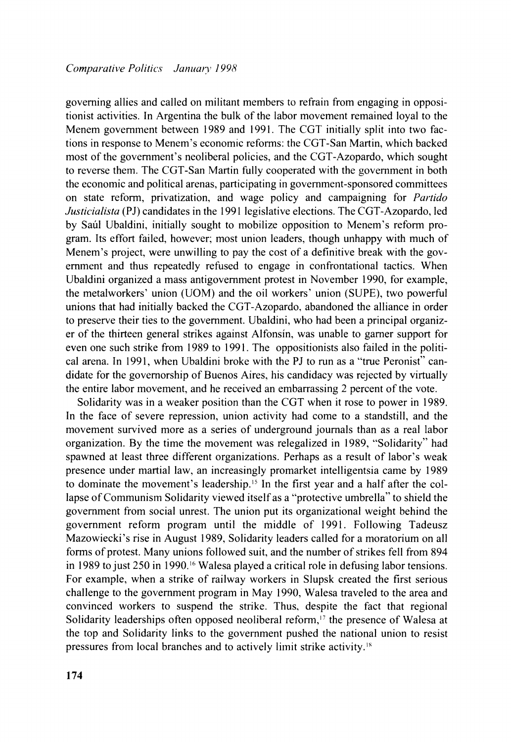governing allies and called on militant members to refrain from engaging in oppositionist activities. In Argentina the bulk of the labor movement remained loyal to the Menem government between 1989 and 1991. The CGT initially split into two factions in response to Menem's economic reforms: the CGT-San Martin, which backed most of the government's neoliberal policies, and the CGT-Azopardo, which sought to reverse them. The CGT-San Martin fully cooperated with the government in both the economic and political arenas, participating in government-sponsored committees on state reform, privatization, and wage policy and campaigning for *Partido Justicialista* (PJ) candidates in the 1991 legislative elections. The CGT-Azopardo, led by Saul Ubaldini, initially sought to mobilize opposition to Menem's reform program. Its effort failed, however; most union leaders, though unhappy with much of Menem's project, were unwilling to pay the cost of a definitive break with the government and thus repeatedly refused to engage in confrontational tactics. When Ubaldini organized a mass antigovernment protest in November 1990, for example, the metalworkers' union (UOM) and the oil workers' union (SUPE), two powerful unions that had initially backed the CGT-Azopardo. abandoned the alliance in order to preserve their ties to the government. Ubaldini, who had been a principal organizer of the thirteen general strikes against Alfonsin, was unable to gamer support for even one such strike from 1989 to 1991. The oppositionists also failed in the political arena. In 1991, when Ubaldini broke with the PJ to run as a "true Peronist" candidate for the governorship of Buenos Aires, his candidacy was rejected by virtually the entire labor movement, and he received an embarrassing 2 percent of the vote.

Solidarity was in a weaker position than the CGT when it rose to power in 1989. In the face of severe repression, union activity had come to a standstill, and the movement survived more as a series of underground journals than as a real labor organization. By the time the movement was relegalized in 1989, "Solidarity" had spawned at least three different organizations. Perhaps as a result of labor's weak presence under martial law, an increasingly promarket intelligentsia came by 1989 to dominate the movement's leadership." In the first year and a half after the collapse of Communism Solidarity viewed itself as a "protective umbrella" to shield the government from social unrest. The union put its organizational weight behind the government reform program until the middle of 1991. Following Tadeusz Mazowiecki's rise in August 1989, Solidarity leaders called for a moratorium on all forms of protest. Many unions followed suit, and the number of strikes fell from 894 in 1989 to just  $250$  in 1990,<sup>16</sup> Walesa played a critical role in defusing labor tensions. For example, when a strike of railway workers in Slupsk created the first serious challenge to the government program in May 1990, Walesa traveled to the area and convinced workers to suspend the strike. Thus, despite the fact that regional Solidarity leaderships often opposed neoliberal reform,<sup> $17$ </sup> the presence of Walesa at the top and Solidarity links to the government pushed the national union to resist pressures from local branches and to actively limit strike activity.<sup>18</sup>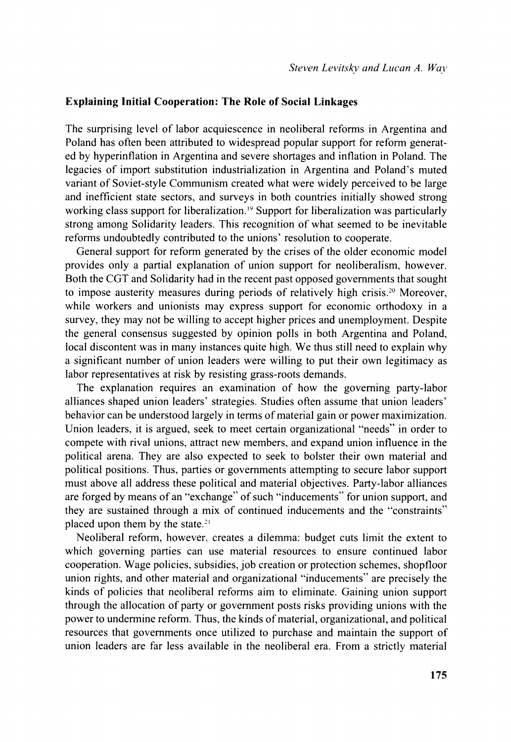#### **Explaining Initial Cooperation: The Role of Social Linkages**

The surprising level of labor acquiescence in neoliberal reforms in Argentina and Poland has often been attributed to widespread popular support for reform generated by hyperinflation in Argentina and severe shortages and inflation in Poland. The legacies of import substitution industrialization in Argentina and Poland's muted variant of Soviet-style Communism created what were widely perceived to be large and inefficient state sectors, and surveys in both countries initially showed strong working class support for liberalization." Support for liberalization was particularly strong among Solidarity leaders. This recognition of what seemed to be inevitable reforms undoubtedly contributed to the unions' resolution to cooperate.

General support for reform generated by the crises of the older economic model provides only a partial explanation of union support for neoliberalism, however. Both the CGT and Solidarity had in the recent past opposed governments that sought to impose austerity measures during periods of relatively high crisis.?" Moreover, while workers and unionists may express support for economic orthodoxy in a survey, they may not be willing to accept higher prices and unemployment. Despite the general consensus suggested by opinion polls in both Argentina and Poland, local discontent was in many instances quite high. We thus still need to explain why a significant number of union leaders were willing to put their own legitimacy as labor representatives at risk by resisting grass-roots demands.

The explanation requires an examination of how the governing party-labor alliances shaped union leaders' strategies. Studies often assume that union leaders' behavior can be understood largely in terms of material gain or power maximization. Union leaders, it is argued, seek to meet certain organizational "needs" in order to compete with rival unions. attract new members, and expand union influence in the political arena. They are also expected to seek to bolster their own material and political positions. Thus, parties or governments attempting to secure labor support must above all address these political and material objectives. Party-labor alliances are forged by means of an "exchange" of such "inducements" for union support, and they are sustained through a mix of continued inducements and the "constraints" placed upon them by the state.<sup>21</sup>

Neoliberal reform, however. creates a dilemma: budget cuts limit the extent to which governing parties can use material resources to ensure continued labor cooperation. Wage policies, subsidies, job creation or protection schemes, shopfloor union rights, and other material and organizational "inducements" are precisely the kinds of policies that neoliberal reforms aim to eliminate. Gaining union support through the allocation of party or government posts risks providing unions with the power to undermine reform. Thus. the kinds of material, organizational, and political resources that governments once utilized to purchase and maintain the support of union leaders are far less available in the neoliberal era. From a strictly material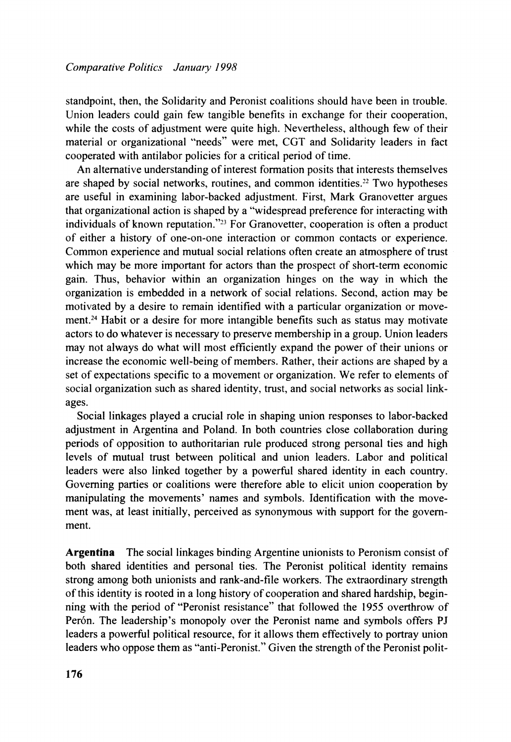standpoint, then, the Solidarity and Peronist coalitions should have been in trouble. Union leaders could gain few tangible benefits in exchange for their cooperation. while the costs of adjustment were quite high. Nevertheless, although few of their material or organizational "needs" were met, CGT and Solidarity leaders in fact cooperated with antilabor policies for a critical period of time.

An alternative understanding of interest formation posits that interests themselves are shaped by social networks, routines, and common identities.<sup>22</sup> Two hypotheses are useful in examining labor-backed adjustment. First, Mark Granovetter argues that organizational action is shaped by a "widespread preference for interacting with individuals of known reputation."<sup>23</sup> For Granovetter, cooperation is often a product of either a history of one-on-one interaction or common contacts or experience. Common experience and mutual social relations often create an atmosphere of trust which may be more important for actors than the prospect of short-term economic gain. Thus, behavior within an organization hinges on the way in which the organization is embedded in a network of social relations. Second, action may be motivated by a desire to remain identified with a particular organization or movement.<sup>24</sup> Habit or a desire for more intangible benefits such as status may motivate actors to do whatever is necessary to preserve membership in a group. Union leaders may not always do what will most efficiently expand the power of their unions or increase the economic well-being of members. Rather, their actions are shaped by a set of expectations specific to a movement or organization. We refer to elements of social organization such as shared identity, trust, and social networks as social linkages.

Social linkages played a crucial role in shaping union responses to labor-backed adjustment in Argentina and Poland. In both countries close collaboration during periods of opposition to authoritarian rule produced strong personal ties and high levels of mutual trust between political and union leaders. Labor and political leaders were also linked together by a powerful shared identity in each country. Governing parties or coalitions were therefore able to elicit union cooperation by manipulating the movements' names and symbols. Identification with the movement was, at least initially, perceived as synonymous with support for the government.

**Argentina** The social linkages binding Argentine unionists to Peronism consist of both shared identities and personal ties. The Peronist political identity remains strong among both unionists and rank-and-file workers. The extraordinary strength of this identity is rooted in a long history of cooperation and shared hardship, beginning with the period of "Peronist resistance" that followed the 1955 overthrow of Perón. The leadership's monopoly over the Peronist name and symbols offers PJ leaders a powerful political resource, for it allows them effectively to portray union leaders who oppose them as "anti-Peronist." Given the strength of the Peronist polit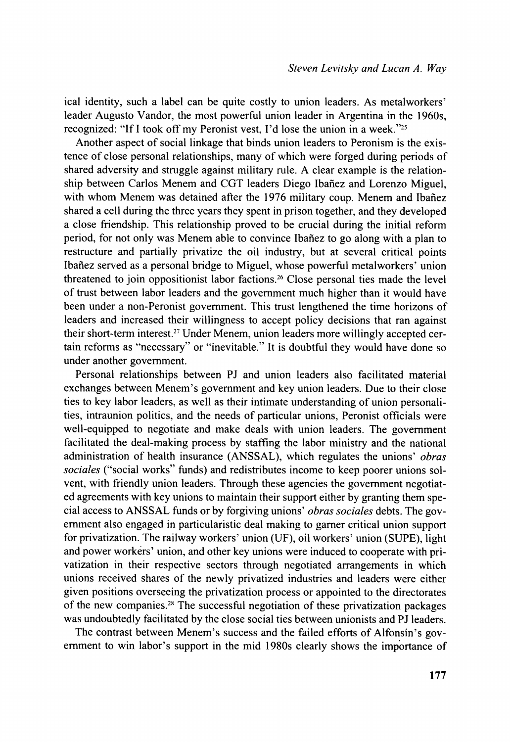ical identity, such a label can be quite costly to union leaders. As metalworkers' leader Augusto Vandor, the most powerful union leader in Argentina in the 1960s, recognized: "If I took off my Peronist vest, I'd lose the union in a week."<sup>25</sup>

Another aspect of social linkage that binds union leaders to Peronism is the existence of close personal relationships, many of which were forged during periods of shared adversity and struggle against military rule. A clear example is the relationship between Carlos Menem and CGT leaders Diego Ibañez and Lorenzo Miguel, with whom Menem was detained after the 1976 military coup. Menem and Ibañez shared a cell during the three years they spent in prison together, and they developed a close friendship. This relationship proved to be crucial during the initial reform period, for not only was Menem able to convince Ibañez to go along with a plan to restructure and partially privatize the oil industry, but at several critical points Ibañez served as a personal bridge to Miguel, whose powerful metalworkers' union threatened to join oppositionist labor factions.<sup>26</sup> Close personal ties made the level of trust between labor leaders and the government much higher than it would have been under a non-Peronist government. This trust lengthened the time horizons of leaders and increased their willingness to accept policy decisions that ran against their short-term interest.<sup>27</sup> Under Menem, union leaders more willingly accepted certain reforms as "necessary" or "inevitable." It is doubtful they would have done so under another government.

Personal relationships between PJ and union leaders also facilitated material exchanges between Menem's government and key union leaders. Due to their close ties to key labor leaders, as well as their intimate understanding of union personalities, intraunion politics, and the needs of particular unions. Peronist officials were well-equipped to negotiate and make deals with union leaders. The government facilitated the deal-making process by staffing the labor ministry and the national administration of health insurance (ANSSAL), which regulates the unions' *obras sociales* ("social works" funds) and redistributes income to keep poorer unions solvent, with friendly union leaders. Through these agencies the government negotiated agreements with key unions to maintain their support either by granting them special access to ANSSAL funds or by forgiving unions' *obras sociales* debts. The government also engaged in particularistic deal making to gamer critical union support for privatization. The railway workers' union (UF), oil workers' union (SUPE), light and power workers' union, and other key unions were induced to cooperate with privatization in their respective sectors through negotiated arrangements in which unions received shares of the newly privatized industries and leaders were either given positions overseeing the privatization process or appointed to the directorates of the new companies.<sup>28</sup> The successful negotiation of these privatization packages was undoubtedly facilitated by the close social ties between unionists and PJ leaders.

The contrast between Menem's success and the failed efforts of Alfonsin's government to win labor's support in the mid 1980s clearly shows the importance of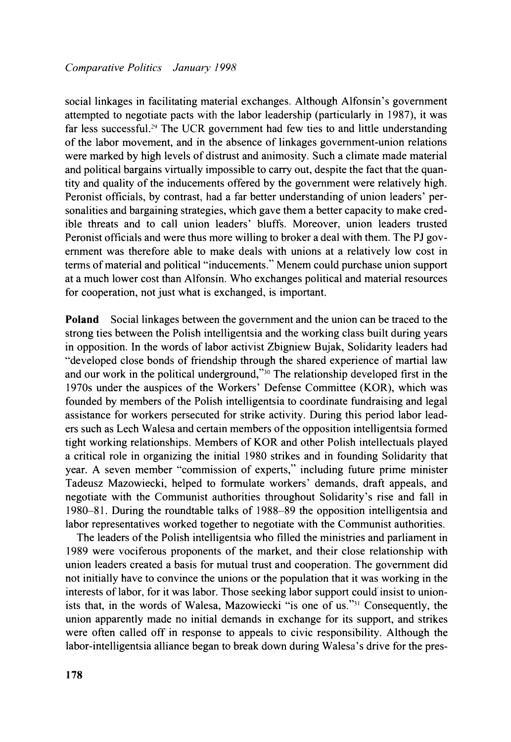social linkages in facilitating material exchanges. Although Alfonsin's government attempted to negotiate pacts with the labor leadership (particularly in 1987), it was far less successful.<sup>29</sup> The UCR government had few ties to and little understanding of the labor movement, and in the absence of linkages government-union relations were marked by high levels of distrust and animosity. Such a climate made material and political bargains virtually impossible to carry out, despite the fact that the quantity and quality of the inducements offered by the government were relatively high. Peronist officials, by contrast, had a far better understanding of union leaders' personalities and bargaining strategies, which gave them a better capacity to make credible threats and to call union leaders' bluffs. Moreover, union leaders trusted Peronist officials and were thus more willing to broker a deal with them. The PJ government was therefore able to make deals with unions at a relatively low cost in terms of material and political "inducements." Menem could purchase union support at a much lower cost than Alfonsin. Who exchanges political and material resources for cooperation, not just what is exchanged, is important.

**Poland** Social linkages between the government and the union can be traced to the strong ties between the Polish intelligentsia and the working class built during years in opposition. In the words of labor activist Zbigniew Bujak, Solidarity leaders had "developed close bonds of friendship through the shared experience of martial law and our work in the political underground," $30$  The relationship developed first in the 1970s under the auspices of the Workers' Defense Committee (KOR), which was founded by members of the Polish intelligentsia to coordinate fundraising and legal assistance for workers persecuted for strike activity. During this period labor leaders such as Lech Walesa and certain members of the opposition intelligentsia formed tight working relationships. Members of KOR and other Polish intellectuals played a critical role in organizing the initial 1980 strikes and in founding Solidarity that year. A seven member "commission of experts," including future prime minister Tadeusz Mazowiecki, helped to formulate workers' demands, draft appeals, and negotiate with the Communist authorities throughout Solidarity's rise and fall in 1980-8 1. During the roundtable talks of 1988-89 the opposition intelligentsia and labor representatives worked together to negotiate with the Communist authorities.

The leaders of the Polish intelligentsia who filled the ministries and parliament in 1989 were vociferous proponents of the market, and their close relationship with union leaders created a basis for mutual trust and cooperation. The government did not initially have to convince the unions or the population that it was working in the interests of labor, for it was labor. Those seeking labor support could' insist to unionists that, in the words of Walesa, Mazowiecki "is one of us."<sup>31</sup> Consequently, the union apparently made no initial demands in exchange for its support, and strikes were often called off in response to appeals to civic responsibility. Although the labor-intelligentsia alliance began to break down during Walesa's drive for the pres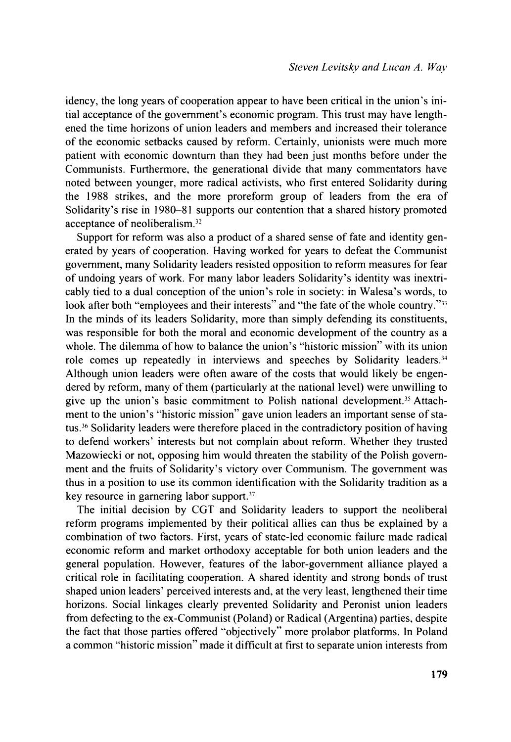idency, the long years of cooperation appear to have been critical in the union's initial acceptance of the government's economic program. This trust may have lengthened the time horizons of union leaders and members and increased their tolerance of the economic setbacks caused by reform. Certainly, unionists were much more patient with economic downturn than they had been just months before under the Communists. Furthermore, the generational divide that many commentators have noted between younger, more radical activists, who first entered Solidarity during the 1988 strikes, and the more proreform group of leaders from the era of Solidarity's rise in 1980-81 supports our contention that a shared history promoted acceptance of neoliberalism.<sup>32</sup>

Support for reform was also a product of a shared sense of fate and identity generated by years of cooperation. Having worked for years to defeat the Communist government, many Solidarity leaders resisted opposition to reform measures for fear of undoing years of work. For many labor leaders Solidarity's identity was inextricably tied to a dual conception of the union's role in society: in Walesa's words, to look after both "employees and their interests" and "the fate of the whole country."<sup>33</sup> In the minds of its leaders Solidarity, more than simply defending its constituents, was responsible for both the moral and economic development of the country as a whole. The dilemma of how to balance the union's "historic mission" with its union role comes up repeatedly in interviews and speeches by Solidarity leaders.<sup>34</sup> Although union leaders were often aware of the costs that would likely be engendered by reform, many of them (particularly at the national level) were unwilling to give up the union's basic commitment to Polish national development.<sup>35</sup> Attachment to the union's "historic mission" gave union leaders an important sense of status.<sup>36</sup> Solidarity leaders were therefore placed in the contradictory position of having to defend workers' interests but not complain about reform. Whether they trusted Mazowiecki or not, opposing him would threaten the stability of the Polish government and the fruits of Solidarity's victory over Communism. The government was thus in a position to use its common identification with the Solidarity tradition as a key resource in garnering labor support. $37$ 

The initial decision by CGT and Solidarity leaders to support the neoliberal reform programs implemented by their political allies can thus be explained by a combination of two factors. First, years of state-led economic failure made radical economic reform and market orthodoxy acceptable for both union leaders and the general population. However, features of the labor-government alliance played a critical role in facilitating cooperation. A shared identity and strong bonds of trust shaped union leaders' perceived interests and, at the very least, lengthened their time horizons. Social linkages clearly prevented Solidarity and Peronist union leaders from defecting to the ex-Communist (Poland) or Radical (Argentina) parties, despite the fact that those parties offered "objectively" more prolabor platforms. In Poland a common "historic mission" made it difficult at first to separate union interests from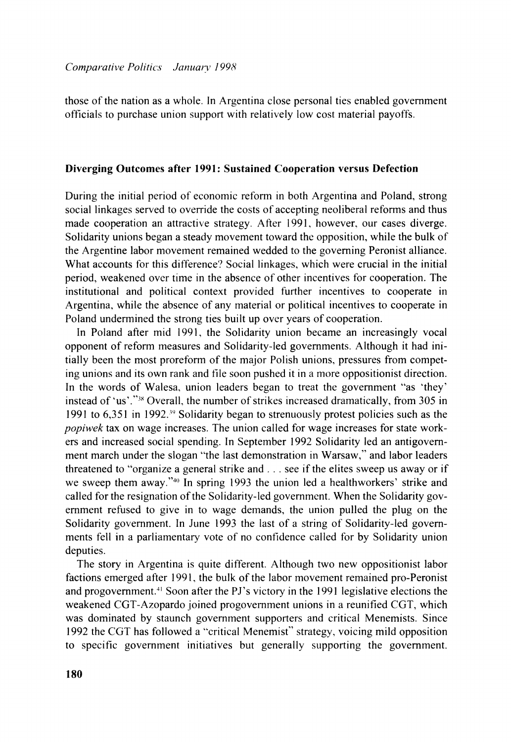those of the nation as a whole. In Argentina close personal ties enabled govemment officials to purchase union support with relatively low cost material payoffs.

#### **Diverging Outcomes after 1991: Sustained Cooperation versus Defection**

During the initial period of economic reform in both Argentina and Poland, strong social linkages served to override the costs of accepting neoliberal reforms and thus made cooperation an attractive strategy. After 1991, however, our cases diverge. Solidarity unions began a steady movement toward the opposition, while the bulk of the Argentine labor movement remained wedded to the governing Peronist alliance. What accounts for this difference? Social linkages, which were crucial in the initial period, weakened over time in the absence of other incentives for cooperation. The institutional and political context provided further incentives to cooperate in Argentina, while the absence of any material or political incentives to cooperate in Poland undermined the strong ties built up over years of cooperation.

In Poland after mid 1991. the Solidarity union became an increasingly vocal opponent of reform measures and Solidarity-led governments. Although it had initially been the most proreform of the major Polish unions, pressures from competing unions and its own rank and tile soon pushed it in a more oppositionist direction. In the words of Walesa. union leaders began to treat the govemment "as 'they' instead of 'us'." $38$  Overall, the number of strikes increased dramatically, from 305 in 1991 to 6,351 in 1992."' Solidarity began to strenuously protest policies such as the *popiwek* tax on wage increases. The union called for wage increases for state workers and increased social spending. In September 1992 Solidarity led an antigovernment march under the slogan "the last demonstration in Warsaw," and labor leaders threatened to "organize a general strike and . . . see if the elites sweep us away or if we sweep them away."40 In spring 1993 the union led a healthworkers' strike and called for the resignation of the Solidarity-led government. When the Solidarity government refused to give in to wage demands, the union pulled the plug on the Solidarity government. In June 1993 the last of a string of Solidarity-led governments fell in a parliamentary vote of no confidence called for by Solidarity union deputies.

The story in Argentina is quite different. Although two new oppositionist labor factions emerged after 1991, the bulk of the labor movement remained pro-Peronist and progovernment.<sup>41</sup> Soon after the PJ's victory in the 1991 legislative elections the weakened CGT-Azopardo joined progovernment unions in a reunified CGT, which was dominated by staunch government supporters and critical Menemists. Since 1992 the CGT has followed a "critical Menemist" strategy, voicing mild opposition to specific government initiatives but generally supporting the government.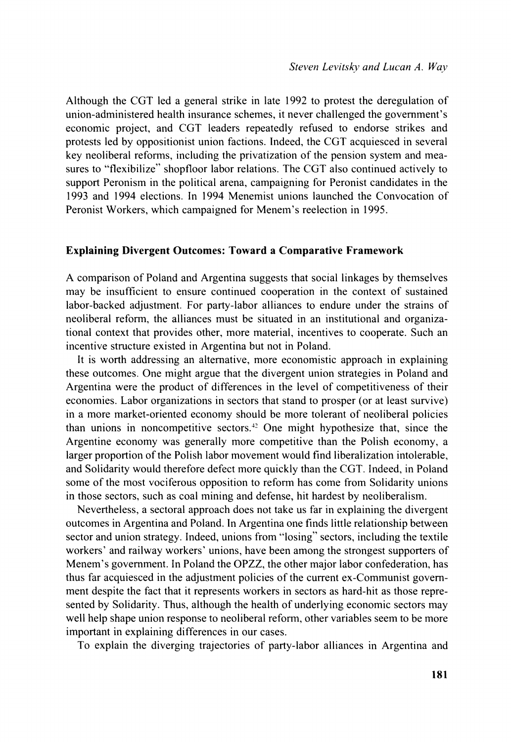Although the CGT led a general strike in late 1992 to protest the deregulation of union-administered health insurance schemes, it never challenged the government's economic project, and CGT leaders repeatedly refused to endorse strikes and protests led by oppositionist union factions. Indeed, the CGT acquiesced in several key neoliberal reforms, including the privatization of the pension system and measures to "flexibilize" shopfloor labor relations. The CGT also continued actively to support Peronism in the political arena, campaigning for Peronist candidates in the 1993 and 1994 elections. In 1994 Menemist unions launched the Convocation of Peronist Workers, which campaigned for Menem's reelection in 1995.

#### **Explaining Divergent Outcomes: Toward a Comparative Framework**

A comparison of Poland and Argentina suggests that social linkages by themselves may be insufficient to ensure continued cooperation in the context of sustained labor-backed adjustment. For party-labor alliances to endure under the strains of neoliberal reform, the alliances must be situated in an institutional and organizational context that provides other, more material, incentives to cooperate. Such an incentive structure existed in Argentina but not in Poland.

It is worth addressing an alternative, more economistic approach in explaining these outcomes. One might argue that the divergent union strategies in Poland and Argentina were the product of differences in the level of competitiveness of their economies. Labor organizations in sectors that stand to prosper (or at least survive) in a more market-oriented economy should be more tolerant of neoliberal policies than unions in noncompetitive sectors.<sup> $+2$ </sup> One might hypothesize that, since the Argentine economy was generally more competitive than the Polish economy, a larger proportion of the Polish labor movement would find liberalization intolerable, and Solidarity would therefore defect more quickly than the CGT. Indeed, in Poland some of the most vociferous opposition to reform has come from Solidarity unions in those sectors, such as coal mining and defense, hit hardest by neoliberalism.

Nevertheless, a sectoral approach does not take us far in explaining the divergent outcomes in Argentina and Poland. In Argentina one finds little relationship between sector and union strategy. Indeed, unions from "losing" sectors, including the textile workers' and railway workers' unions, have been among the strongest supporters of Menem's government. In Poland the OPZZ, the other major labor confederation, has thus far acquiesced in the adjustment policies of the current ex-Communist government despite the fact that it represents workers in sectors as hard-hit as those represented by Solidarity. Thus, although the health of underlying economic sectors may well help shape union response to neoliberal reform, other variables seem to be more important in explaining differences in our cases.

To explain the diverging trajectories of party-labor alliances in Argentina and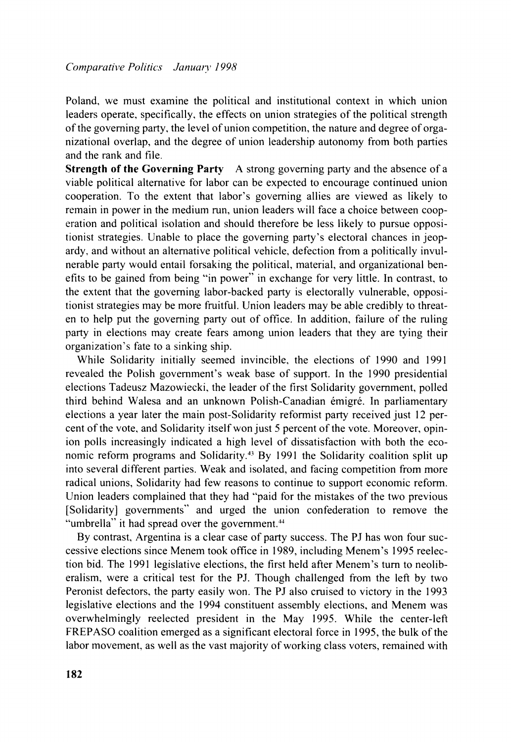Poland, we must examine the political and institutional context in which union *leaders operate, specifically. the effects on union strategies of the political strength of the governing party. the level of union competition, the nature and degree of organizational overlap, and the degree of union leadership autonomy from both parties and the rank and file.* 

**Strength of the Governing Party** *A strong governing party and the absence of a viable political alternative for labor can be expected to encourage continued union cooperation. To the extent that labor's governing allies are viewed as likely to*  remain in power in the medium run, union leaders will face a choice between coop*eration and political isolation and should therefore be less likely to pursue oppositionist strategies. Unable to place the governing party's electoral chances in jeopardy. and without an alternative political vehicle. defection from a politically invulnerable party would entail forsaking the political. material, and organizational benefits to be gained from being "in power" in exchange for very little. In contrast. to the extent that the governing labor-backed party is electorally vulnerable, oppositionist strategies may be more fruitful. Union leaders may be able credibly to threaten to help put the governing party out of office. In addition, failure of the ruling party in elections may create fears among union leaders that they are tying their organization's fate to a sinking ship.* 

*While Solidarity initially seemed invincible, the elections of 1990 and 1991*  revealed the Polish government's weak base of support. In the 1990 presidential *elections Tadeusz Mazowiecki. the leader of the first Solidarity government, polled third behind Walesa and an unknown Polish-Canadian émigré. In parliamentary elections a year later the main post-Solidarity reformist party received just 12 percent of the vote. and Solidarity itself won just* 5 *percent of the vote. Moreover, opinion polls increasingly indicated a high level of dissatisfaction with both the economic reform progranx and Solidarity." By 1991 the Solidarity coalition split up into several different parties. Weak and isolated. and facing competition from more radical unions, Solidarity had few reasons to continue to support economic reform. Union leaders complained that they had "paid for the mistakes of the two previous*  [Solidarity] governments" and urged the union confederation to remove the "umbrella" it had spread over the government.<sup>44</sup>

*By contrast, Argentina is a clear case of party success. The PJ has won four successive elections since Menem took office in 1989, including Menem's 1995 reelec*tion bid. The 1991 legislative elections, the first held after Menem's turn to neolib*eralism, were a critical test for the PJ. Though challenged from the left by two Peronist defectors. the party easily won. The PJ also cruised to victory in the 1993 legislative elections and the 1994 constituent assembly elections. and Menem was overwhelmingly reelected president in the May 1995. While the center-left FREPASO coalition emerged as a significant electoral force in 1995, the bulk of the* labor movement, as well as the vast majority of working class voters, remained with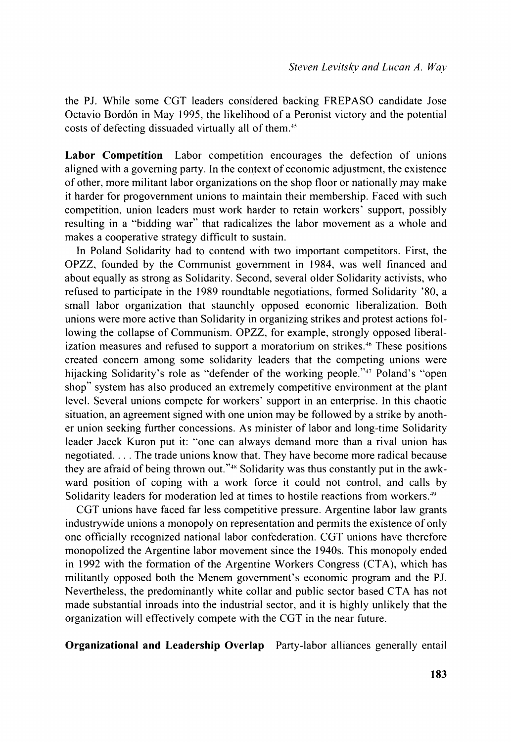the PJ. While some CGT leaders considered backing FREPASO candidate Jose Octavio Bordon in May 1995, the likelihood of a Peronist victory and the potential costs of defecting dissuaded virtually all of them.<sup>45</sup>

**Labor Competition** Labor competition encourages the defection of unions aligned with a governing party. In the context of economic adjustment, the existence of other, more militant labor organizations on the shop floor or nationally may make it harder for progovernment unions to maintain their membership. Faced with such competition, union leaders must work harder to retain workers' support, possibly resulting in a "bidding war" that radicalizes the labor movement as a whole and makes a cooperative strategy difficult to sustain.

In Poland Solidarity had to contend with two important competitors. First, the OPZZ, founded by the Communist government in 1984, was well financed and about equally as strong as Solidarity. Second, several older Solidarity activists. who refused to participate in the 1989 roundtable negotiations, formed Solidarity '80, a small labor organization that staunchly opposed economic liberalization. Both unions were more active than Solidarity in organizing strikes and protest actions following the collapse of Communism. OPZZ, for example, strongly opposed liberalization measures and refused to support a moratorium on strikes.<sup>46</sup> These positions created concern among some solidarity leaders that the competing unions were hijacking Solidarity's role as "defender of the working people." $47$  Poland's "open shop" system has also produced an extremely competitive environment at the plant level. Several unions compete for workers' support in an enterprise. In this chaotic situation, an agreement signed with one union may be followed by a strike by another union seeking further concessions. As minister of labor and long-time Solidarity leader Jacek Kuron put it: "one can always demand more than a rival union has negotiated. . . . The trade unions know that. They have become more radical because they are afraid of being thrown out."<sup>48</sup> Solidarity was thus constantly put in the awkward position of coping with a work force it could not control, and calls by Solidarity leaders for moderation led at times to hostile reactions from workers.<sup>49</sup>

CGT unions have faced far less competitive pressure. Argentine labor law grants industrywide unions a monopoly on representation and permits the existence of only one officially recognized national labor confederation. CGT unions have therefore monopolized the Argentine labor movement since the 1940s. This monopoly ended in 1992 with the formation of the Argentine Workers Congress (CTA), which has militantly opposed both the Menem government's economic program and the PJ. Nevertheless, the predominantly white collar and public sector based CTA has not made substantial inroads into the industrial sector, and it is highly unlikely that the organization will effectively compete with the CGT in the near future.

**Organizational and Leadership Overlap** Party-labor alliances generally entail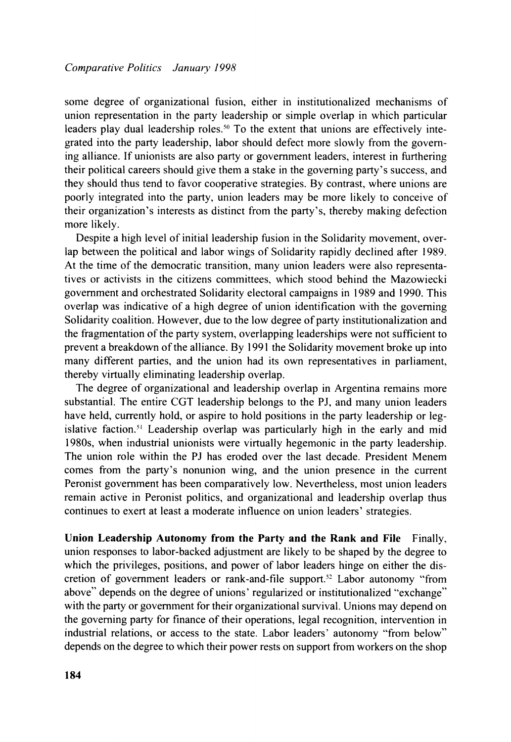some degree of organizational fusion, either in institutionalized mechanisms of union representation in the party leadership or simple overlap in which particular leaders play dual leadership roles.<sup>50</sup> To the extent that unions are effectively integrated into the party leadership, labor should defect more slowly from the governing alliance. If unionists are also party or government leaders. interest in furthering their political careers should give them a stake in the governing party's success, and they should thus tend to favor cooperative strategies. By contrast, where unions are poorly integrated into the party, union leaders may be more likely to conceive of their organization's interests as distinct from the party's, thereby making defection more likely.

Despite a high level of initial leadership fusion in the Solidarity movement. overlap between the political and labor wings of Solidarity rapidly declined after 1989. At the time of the democratic transition. many union leaders were also representatives or activists in the citizens committees. which stood behind the Mazowiecki government and orchestrated Solidarity electoral campaigns in 1989 and 1990. This overlap was indicative of a high degree of union identification with the governing Solidarity coalition. However, due to the low degree of party institutionalization and the fragmentation of the party system, overlapping leaderships were not sufficient to prevent a breakdown of the alliance. By 1991 the Solidarity movement broke up into many different parties, and the union had its own representatives in parliament, thereby virtually eliminating leadership overlap.

The degree of organizational and leadership overlap in Argentina remains more substantial. The entire CGT leadership belongs to the PJ, and many union leaders have held, currently hold, or aspire to hold positions in the party leadership or legislative faction.<sup>51</sup> Leadership overlap was particularly high in the early and mid 1980s, when industrial unionists were virtually hegemonic in the party leadership. The union role within the PJ has eroded over the last decade. President Menem comes from the party's nonunion wing, and the union presence in the current Peronist government has been comparatively low. Nevertheless, most union leaders remain active in Peronist politics, and organizational and leadership overlap thus continues to exert at least a moderate influence on union leaders' strategies.

**Union Leadership Autonomy from the Party and the Rank and File** Finally. union responses to labor-backed adjustment are likely to be shaped by the degree to which the privileges, positions, and power of labor leaders hinge on either the discretion of government leaders or rank-and-file support.<sup>52</sup> Labor autonomy "from above" depends on the degree of unions' regularized or institutionalized "exchange" with the party or government for their organizational survival. Unions may depend on the governing party for finance of their operations, legal recognition, intervention in industrial relations. or access to the state. Labor leaders' autonomy "from below" depends on the degree to which their power rests on support from workers on the shop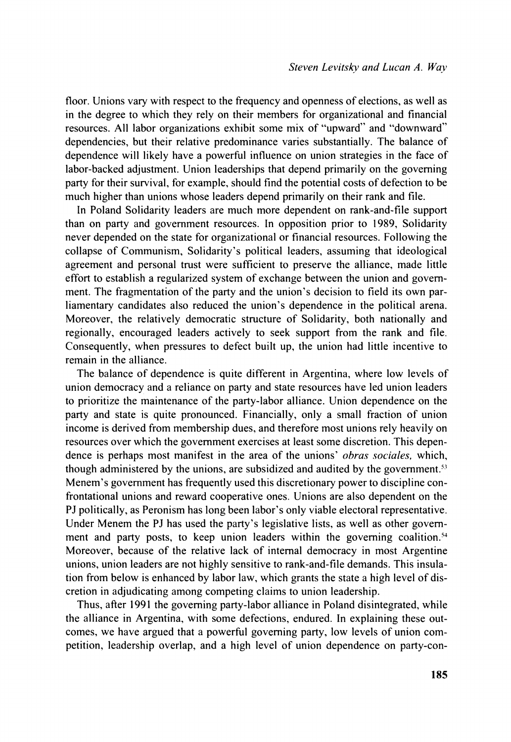floor. Unions vary with respect to the frequency and openness of elections, as well as in the degree to which they rely on their members for organizational and financial resources. All labor organizations exhibit some mix of "upward" and "downward" dependencies, but their relative predominance varies substantially. The balance of dependence will likely have a powerful influence on union strategies in the face of labor-backed adjustment. Union leaderships that depend primarily on the governing party for their survival, for example. should find the potential costs of defection to be much higher than unions whose leaders depend primarily on their rank and file.

In Poland Solidarity leaders are much more dependent on rank-and-file support than on party and government resources. In opposition prior to 1989, Solidarity never depended on the state for organizational or financial resources. Following the collapse of Communism, Solidarity's political leaders, assuming that ideological agreement and personal trust were sufficient to preserve the alliance, made little effort to establish a regularized system of exchange between the union and government. The fragmentation of the party and the union's decision to field its own parliamentary candidates also reduced the union's dependence in the political arena. Moreover, the relatively democratic structure of Solidarity, both nationally and regionally, encouraged leaders actively to seek support from the rank and file. Consequently, when pressures to defect built up, the union had little incentive to remain in the alliance.

The balance of dependence is quite different in Argentina, where low levels of union democracy and a reliance on party and state resources have led union leaders to prioritize the maintenance of the party-labor alliance. Union dependence on the party and state is quite pronounced. Financially, only a small fraction of union income is derived from membership dues, and therefore most unions rely heavily on resources over which the government exercises at least some discretion. This dependence is perhaps most manifest in the area of the unions' *ohras sociales,* which, though administered by the unions, are subsidized and audited by the government.'? Menem's government has frequently used this discretionary power to discipline confrontational unions and reward cooperative ones. Unions are also dependent on the PJ politically, as Peronism has long been labor's only viable electoral representative. Under Menem the PJ has used the party's legislative lists, as well as other government and party posts, to keep union leaders within the governing coalition.<sup>54</sup> Moreover. because of the relative lack of internal democracy in most Argentine unions, union leaders are not highly sensitive to rank-and-file demands. This insulation from below is enhanced by labor law, which grants the state a high level of discretion in adjudicating among competing claims to union leadership.

Thus, after 1991 the governing party-labor alliance in Poland disintegrated, while the alliance in Argentina, with some defections, endured. In explaining these outcomes, we have argued that a powerful governing party, low levels of union competition, leadership overlap, and a high level of union dependence on party-con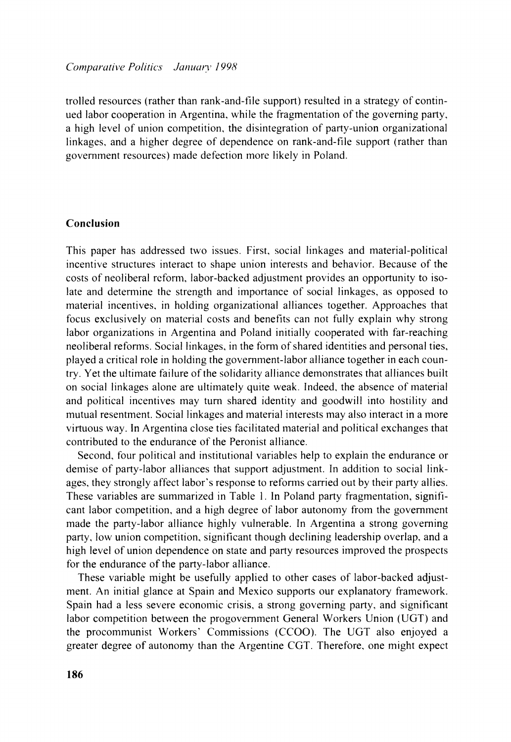trolled resources (rather than rank-and-file support) resulted in a strategy of continued labor cooperation in Argentina. while the fragmentation of the governing party. a high level of union competition, the disintegration of party-union organizational linkages. and a higher degree of dependence on rank-and-file support (rather than government resources) made defection more likely in Poland.

## **Conclusion**

This paper has addressed two issues. First. social linkages and material-political incentive structures interact to shape union interests and behavior. Because of the costs of neoliberal reform. labor-backed adjustment provides an opportunity to isolate and determine the strength and importance of social linkages, as opposed to material incentives, in holding organizational alliances together. Approaches that focus exclusively on material costs and benefits can not fully explain why strong labor organizations in Argentina and Poland initially cooperated with far-reaching neoliberal refomis. Social linkages, in the form of shared identities and personal ties. played a critical role in holding the government-labor alliance together in each country, Yet the ultimate failure of the solidarity alliance demonstrates that alliances built on social linkages alone are ultimately quite weak. Indeed, the absence of material and political incentives may turn shared identity and goodwill into hostility and mutual resentment. Social linkages and material interests may also interact in a more virtuous way. In Argentina close ties facilitated material and political exchanges that contributed to the endurance of the Peronist alliance.

Second. four political and institutional variables help to explain the endurance or demise of party-labor alliances that support adjustment. In addition to social linkages. they strongly affect labor's response to reforms carried out by their party allies. These variables are summarized in Table 1. In Poland party fragmentation. significant labor competition. and a high degree of labor autonomy from the government made the party-labor alliance highly vulnerable. In Argentina a strong governing party, low union competition, significant though declining leadership overlap, and a high level of union dependence on state and party resources improved the prospects for the endurance of the party-labor alliance.

These variable might be usefully applied to other cases of labor-backed adjustment. An initial glance at Spain and Mexico supports our explanatory framework. Spain had a less severe economic crisis. a strong governing party. and significant labor competition between the progovemment General Workers Union (UGT) and the procommunist Workers' Commissions (CCOO). The UGT also enjoyed a greater degree of autonomy than the Argentine CGT. Therefore. one might expect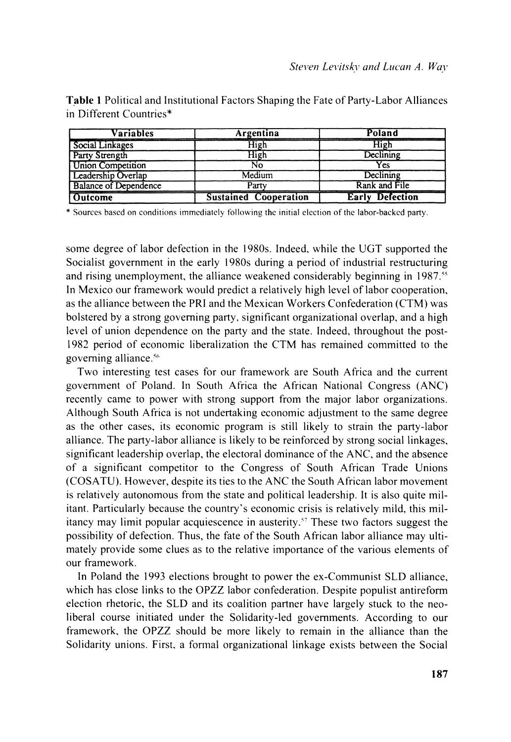| Variables                    | Argentina                    | Poland                 |
|------------------------------|------------------------------|------------------------|
| Social Linkages              | High                         |                        |
| Party Strength               | High                         | Declining              |
| <b>Union Competition</b>     | N٥                           | Yes                    |
| <b>Leadership Overlap</b>    | Medium                       | Declining              |
| <b>Balance of Dependence</b> | Party                        | Rank and File          |
| Outcome                      | <b>Sustained Cooperation</b> | <b>Early Defection</b> |

**Table** *1 Political and Institutional Factors Shaping the Fate of Party-Labor Alliances in Different Countries\** 

\* Sources based on conditions immediately following the initial election of the labor-backed party.

some degree of labor defection in the 1980s. Indeed, while the UGT supported the *Socialist government in the early 1980s during a period of industrial restructuring*  and rising unemployment, the alliance weakened considerably beginning in 1987.<sup>55</sup> *In Mexico our framework \vould predict a relatively high level of labor cooperation, as the alliance between the PRI and the Mexican Workers Confederation (CTM) was bolstered by a strong go\,erning party. significant organizational overlap, and a high level of union dependence on the party and the state. Indeed. throughout the post-*1982 period of economic liberalization the CTM has remained committed to the *governing alliance.'"* 

*Two interesting test cases for our framework are South Africa and the current government of Poland. In South Africa the African National Congress (ANC) recently came to power with strong support from the major labor organizations. Although South Africa is not undertaking economic adjustment to the same degree as the other cases. its economic program is still likely to strain the party-labor alliance. The party-labor alliance is likely to be reinforced by strong social linkages. significant leadership overlap, the electoral dominance of the ANC, and the absence of a significant competitor to the Congress of South African Trade Unions (COSATU). However, despite its ties to the ANC the South African labor movement*  is relatively autonomous from the state and political leadership. It is also quite mil*itant. Particularly because the country's economic crisis is relatively mild. this militancy may limit popular acquiescence in austerity.'' These two factors suggest the possibility of defection. Thus, the fate of the South African labor alliance may ultimately provide some clues as to the relative importance of the various elements of our framework.* 

*In Poland the 1993 elections brought to power the ex-Communist SLD alliance, which has close links to the OPZZ labor confederation. Despite populist antireform election rhetoric, the SLD and its coalition partner have Largely stuck to the neoliberal course initiated under the Solidarity-led governments. According to our framework. the OPZZ should be more likely to remain in the alliance than the Solidarity unions. First, a formal organizational linkage exists between the Social*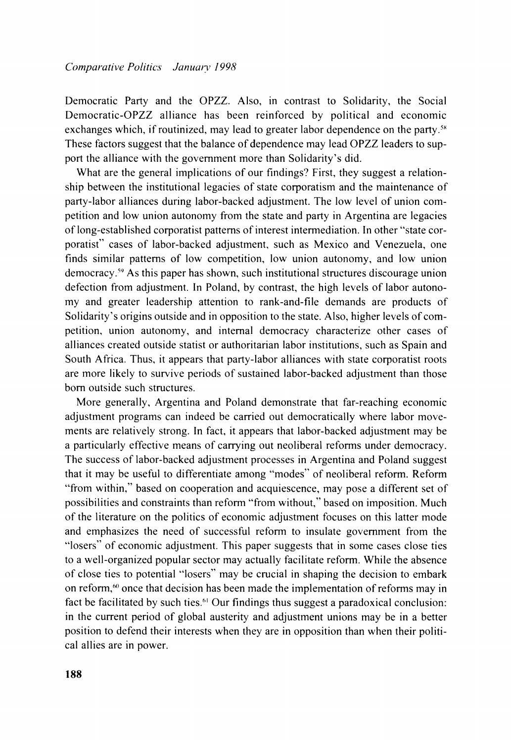Democratic Party and the OPZZ. Also, in contrast to Solidarity, the Social Democratic-OPZZ alliance has been reinforced by political and economic exchanges which, if routinized, may lead to greater labor dependence on the party.<sup>58</sup> These factors suggest that the balance of dependence may lead OPZZ leaders to support the alliance with the government more than Solidarity's did.

What are the general implications of our findings? First, they suggest a relationship between the institutional legacies of state corporatism and the maintenance of party-labor alliances during labor-backed adjustment. The low level of union competition and low union autonomy from the state and party in Argentina are legacies of long-established corporatist patterns of interest intermediation. In other "state corporatist" cases of labor-backed adjustment, such as Mexico and Venezuela, one finds similar patterns of low competition, low union autonomy, and low union democracy.<sup>59</sup> As this paper has shown, such institutional structures discourage union defection from adjustment. In Poland, by contrast, the high levels of labor autonomy and greater leadership attention to rank-and-file demands are products of Solidarity's origins outside and in opposition to the state. Also, higher levels of competition, union autonomy, and internal democracy characterize other cases of alliances created outside statist or authoritarian labor institutions, such as Spain and South Africa. Thus, it appears that party-labor alliances with state corporatist roots are more likely to survive periods of sustained labor-backed adjustment than those born outside such structures.

More generally, Argentina and Poland demonstrate that far-reaching economic adjustment programs can indeed be carried out democratically where labor movements are relatively strong. In fact, it appears that labor-backed adjustment may be a particularly effective means of carrying out neoliberal reforms under democracy. The success of labor-backed adjustment processes in Argentina and Poland suggest that it may be useful to differentiate among "modes" of neoliberal reform. Reform "from within," based on cooperation and acquiescence, may pose a different set of possibilities and constraints than reform "from without," based on imposition. Much of the literature on the politics of economic adjustment focuses on this latter mode and emphasizes the need of successful reform to insulate government from the "losers" of economic adjustment. This paper suggests that in some cases close ties to a well-organized popular sector may actually facilitate reform. While the absence of close ties to potential "losers" may be crucial in shaping the decision to embark on reform, $\omega$  once that decision has been made the implementation of reforms may in fact be facilitated by such ties." Our findings thus suggest a paradoxical conclusion: in the current period of global austerity and adjustment unions may be in a better position to defend their interests when they are in opposition than when their political allies are in power.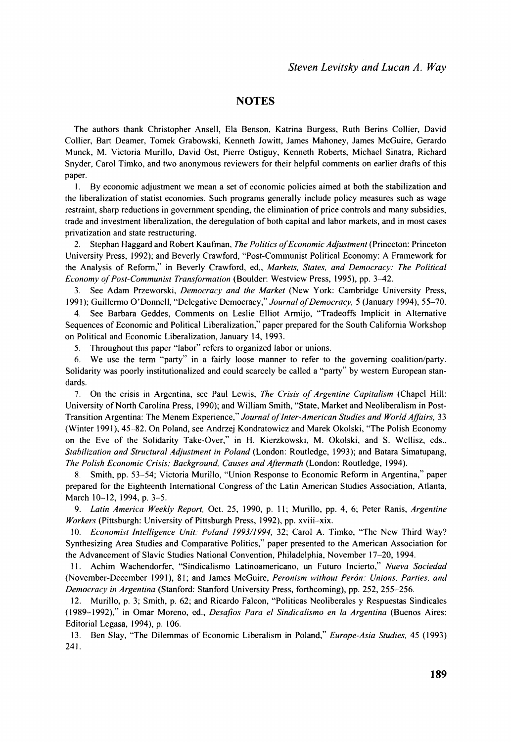#### **NOTES**

The authors thank Christopher Ansell, Ela Benson, Katrina Burgess, Ruth Berins Collier, David Collier, Bart Deamer, Tomek Grabowski, Kenneth Jowitt, James Mahoney, James McGuire, Gerardo Munck. M. Victoria Murillo, David Ost, Pierre Ostiguy, Kenneth Roberts, Michael Sinatra, Richard Snyder, Carol Timko, and two anonymous reviewers for their helpful comments on earlier drafts of this paper.

1. By economic adjustment we mean a set of economic policies aimed at both the stabilization and the liberalization of statist economies. Such programs generally include policy measures such as wage restraint, sharp reductions in government spending, the elimination of price controls and many subsidies, trade and investment liberalization, the deregulation of both capital and labor markets, and in most cases privatization and state restructuring.

2. Stephan Haggard and Robert Kaufman. *The Politics ofEconomic Adjustment* (Princeton: Princeton University Press, 1992); and Beverly Crawford, "Post-Communist Political Economy: A Framework for the Analysis of Reform," in Beverly Crawford, ed., *Markers, States. and Democracy: The Political Economy of Post-Communist Transformation (Boulder: Westview Press, 1995), pp. 3-42.* 

3. See Adam Przeworski, *Democracy and the Market* (New York: Cambridge University Press, 1991); Guillermo O'Donnell, "Delegative Democracy," Journal of Democracy, 5 (January 1994), 55-70.

4. See Barbara Geddes, Comments on Leslie Elllot Armijo, "Tradeoffs Implicit in Alternative Sequences of Economic and Political Liberalization," paper prepared for the South California Workshop on Political and Economic Liberalization, January 14, 1993.

5. Throughout this paper "labor" refers to organized labor or unions.

6. We use the term "party" in a fairly loose manner to refer to the governing coalition/party. Solidarity was poorly institutionalized and could scarcely be called a "party" by western European standards.

*7* On the crisis in Argentina, see Paul Lewis. *The Crisis of Argentine Capitalism* (Chapel Hill: University of North Carolina Press, 1990); and William Smith, "State, Market and Neoliberalism in Post-Transition Argentina: The Menem Experience," Journal of Inter-American Studies and World Affairs, 33 (Winter 1991), 45-82. On Poland, see Andrzej Kondratowicz and Marek Okolski, "The Polish Economy on the Eve of the Solidarity Take-Over," in H. Kierzkowski, M. Okolski, and S. Wellisz, eds., *Stabilization and Strtrctural Adjustment in Poland* (London: Routledge, 1993): and Batara Simatupang, *The Polish Economic Crisis: Background. Causes and Aflermath* (London: Routledge, 1994).

8. Smith, pp. 53-54; Victoria Murillo. "Union Response to Economic Reform in Argentina," paper prepared for the Eighteenth International Congress of the Latin American Studies Association, Atlanta, March 10-12, 1994, p. 3-5.

9. *Latin America Weekly Report.* Oct. 25, 1990, p. I I; Murillo, pp. 4, 6; Peter Ranis, *Argentine Workers* (Pittsburgh: University of Pittsburgh Press, 1992), pp. xviii-xix.

10. *Economist Intelligence Unit: Poland 1993/1994*, 32; Carol A. Timko, "The New Third Way? Synthesizing Area Studies and Comparative Politics," paper presented to the American Association for the Advancement of Slavic Studies National Convention, Philadelphia, November 17-20, 1994.

I I. Achim Wachendorfer. "Sindicalismo Latinoamericano, un Futuro Incierto." *Nueva Sociedad*  (November-December 1991), 81; and James McGuire, *Peronirni withour Peron: Unions. Parties, and Democrac:~ in Argentina* (Stanford: Stanford University Press, forthcoming), pp. 252, 255-256.

12. Murillo, p. 3; Smith, p. 62; and Ricardo Falcon, "Politicas Neoliberales y Respuestas Sindicales (1989-1992)," in Omar Moreno, ed., *Desafios Para el Sindicalismo en la .4rgentina* (Buenos Aires: Editorial Legasa, 1994), p. 106.

13. Ben Slay, "The Dilemmas of Economic Liberalism in Poland," *Europe-Asia Strrdies,* 45 (1993) 24 1.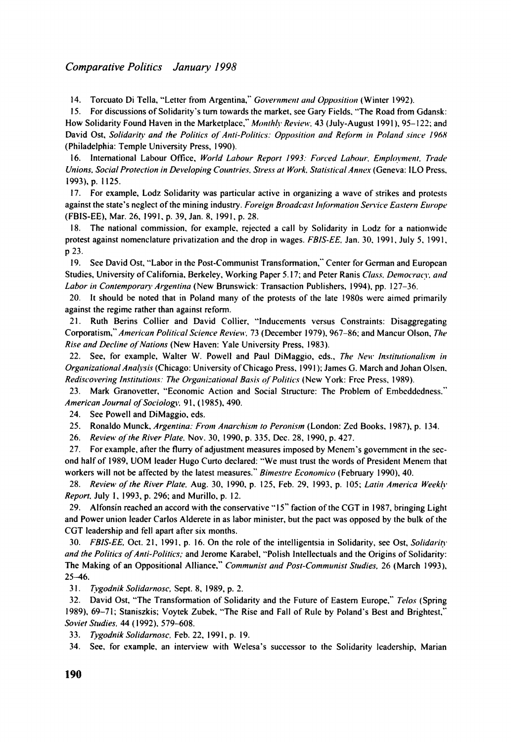#### *Comparative Politics Januaty 1998*

14. Torcuato Di Tella, "Letter from Argentina," *Government and Opposition* (Winter 1992).

15. For discussions of Solidarity's turn towards the market. see Gary Fields. "The Road from Gdansk: How Solidarity Found Haven in the Marketplace," *Monthly Review*, 43 (July-August 1991), 95-122; and David Ost, *Solidarity and the Politics of Anti-Politics: Opposition and Reform in Poland since 1968* (Philadelphia: Temple University Press. 1990).

16. International Labour Office, World Labour Report 1993: Forced Labour, Employment, Trade *Unions, Social Protection in Developing Countries, Stress at Work, Statistical Annex (Geneva: ILO Press,* 1993). p. 1 125.

17. For example, Lodz Solidarity was particular active in organizing a wave of strikes and protcsts against the state's neglect of the mining industry. *Foreign Broadcast Information Service Eastern Europe* (FBIS-EE), Mar. 26, 1991. p. 39, Jan. 8, 1991, p. 28.

18. The national commission. for examplc, rejected a call by Solidarity in Lodz for a nationwidc protest against nomenclature privatization and the drop in wages. *FBIS-EE.* Jan. 30. 1991. July 5. 1991. p 23.

19. See David Ost, "Labor in the Post-Communist Transformation," Center for German and European Studies, University of California, Berkeley, Working Paper 5.17; and Peter Ranis *Class, Democracy, and Labor in Contemporary Argentina* (New Brunswick: Transaction Publishers, 1994), pp. 127–36.

20. It should be noted that in Poland many of the protests of the late 1980s were aimed primarily against the regime rather than against reform.

21. Ruth Berins Collier and David Collier, "Inducements versus Constraints: Disaggregating Corporatism," American Political Science Review. 73 (December 1979), 967-86; and Mancur Olson, The *Rise and Decline of Nations* (New Haven: Yale University Press, 1983).

22. See, for example, Walter W. Powell and Paul DiMaggio, eds., *The New Institutionalism in Organizational Ana!~ris* (Chicago: University of Chicago Press. 1991 ); James G. March and Johan Olsen. *Rediscovering Institutions: The Organizational Basis of Politics* (New York: Free Press, 1989).

23. Mark Granovetter, "Economic Action and Social Structure: The Problem of Embeddedness." *American Journal oj'Sociolog~:* 9 1. (1985). 490.

24. See Powell and DiMaggio. eds.

25. Ronaldo Munck, *Argentina: From Anarchism to Peronism* (London: Zed Books. 1987). p. 134.

26. *Review ofthe River Plate.* Nov. 30, 1990, p. 335, Dec. 28, 1990, p. 427.

27. For example, after the fluny of adjustment measures imposed by Mencm's governmcnt in the second half of 1989, UOM leader Hugo Curto declared: "We must trust the words of President Menem that workers will not be affected by the latest measures." *Bimestre Economico* (February 1990), 40.

28. *Revieus of the River Plate,* Aug. 30, 1990, p. 125. Feb. 29. 1993. p. 105; *Latiri America WeeX.11. Report.* July 1. 1993. p. 296: and Murillo, p. 12.

29. Alfonsin reached an accord with the conservative "15" faction of the CGT in 1987, bringing Light and Power union leader Carlos Alderete in as labor minister, but the pact was opposed by the bulk of the CGT leadership and fell apart after six months.

30. *FBIS-EE*. Oct. 21, 1991, p. 16. On the role of the intelligentsia in Solidarity, see Ost, *Solidarity and the Politics of Anti-Politicr;* and Jerome Karabel. "Polish Intellectuals and the Origins of Solidarity: The Making of an Oppositional Alliance," *Communist and Post-Communist Studies*, 26 (March 1993), 25-46.

3 1. *Tvgodnik Solidarnosc,* Sept. 8, 1989, p. 2.

32. David Ost. "The Transformation of Solidarity and the Future of Eastern Europe." *Telos* (Spring l989), 69-71; Staniszkis: Voytek Zubek. "The Rise and Fall of Rule by Poland's Best and Brightest," *Soviel Stirdies.* 44 ( 1992). 579-608.

33. *Tygodttik Solidarriosc,* Feb. 22, 1991, p. 19.

34. See, for example, an interview with Welesa's successor to the Solidarity leadership, Marian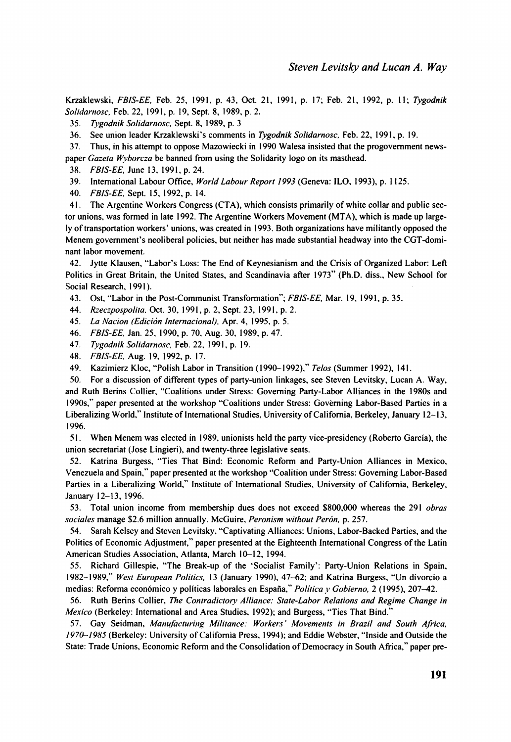Krzaklewski, *FBIS-EE,* Feb. 25, 1991, p. 43, Oct. 21, 1991, p. 17; Feb. 21, 1992, p. I I; *Tvgodnik Solidarnosc.* Feb. 22, 1991, p. 19, Sept. 8, 1989, p. 2.

35. *Tvgodnik Solidarnosc.* Sept. 8, 1989, p. 3

36. See union leader Krzaklewski's comments in *Tygodnik Solidarnosc,* Feb. 22, 1991, p. 19.

37. Thus, in his attempt to oppose Mazowiecki in 1990 Walesa insisted that the progovernment newspaper *Gazeta Wyborcza* be banned from using the Solidarity logo on its masthead.

38. *FBIS-EE,* June 13. 199 1. p. 24.

39. lnternational Labour Oftice, *World Labour Report 1993* (Geneva: ILO, 1993). p. 1125.

40. *FBIS-EE,* Sept. 15, 1992, p. 14.

41. The Argentine Workers Congress (CTA), which consists primarily of white collar and public sector unions, was formed in late 1992. The Argentine Workers Movement (MTA), which is made up largely of transportation workers' unions, was created in 1993. Both organizations have militantly opposed the Menem government's neoliberal policies, but neither has made substantial headway into the CGT-dominant labor movement.

42. Jytte Klausen, "Labor's Loss: The End of Keynesianism and the Crisis of Organized Labor: Left Politics in Great Britain, the United States, and Scandinavia after 1973" (Ph.D. diss., New School for Social Research, 1991).

43. Ost, "Labor in the Post-Communist Transformation"; *FBIS-EE.* Mar. 19. 1991, p. 35.

44. *R=eczpospolita.* Oct. 30, 199 1, p. 2, Sept. 23, 199 1, p. 2.

45. *La Narion (Edicion lnternacional).* Apr. 4, 1995. p. 5.

46. *FBIS-EE,*Jan. 25. 1990, p. 70. Aug. 30. 1989. p. 47.

47. *Ttxodnik Solidarnosc.* Feb. 22. 1991. p. 19.

48. *FBIS-EE.* Aug. 19, 1992, p. 17.

49. Kazimierz Kloc, "Polish Labor in Transition (I 990- l992)." *Telos* (Summer 1992). 14 1.

50. For a discussion of different types of party-union linkages, see Steven Levitsky, Lucan A. Way, and Ruth Berins Collier, "Coalitions under Stress: Governing Party-Labor Alliances in the 1980s and 1990s." paper presented at the workshop "Coalitions under Stress: Governing Labor-Based Parties in a Liberalizing World.'' Institute of lnternational Studies. University of California. Berkeley, January 12-13, 1996.

5 1. When Menem was elected in 1989. unionists held the party vice-presidency (Roberto Garcia), the union secretariat (Jose Lingieri), and twenty-three legislative seats.

52. Katrina Burgess. "Ties That Bind: Economic Reform and Party-Union Alliances in Mexico, Venezuela and Spain." paper presented at the workshop "Coalition under Stress: Governing Labor-Based Parties in a Liberalizing World," Institute of lnternational Studies. University of California, Berkeley, January 12-13, 1996.

53. Total union income from membership dues does not exceed \$800,000 whereas the 291 *obras sociales* manage \$2.6 million annually. McGuire, *Peronism without Perdn,* p. 257.

54. Sarah Kelsey and Steven Levitsky. "Captivating Alliances: Unions, Labor-Backed Parties, and the Politics of Economic Adjustment," paper presented at the Eighteenth lnternational Congress of the Latin American Studies Association, Atlanta, March 10-12, 1994.

55. Richard Gillespie, "The Break-up of the 'Socialist Family': Party-Union Relations in Spain, 1982-1 989." *West European Politics,* 13 (January 1990). 47-62; and Katrina Burgess, "Un divorcio a medias: Reforma económico y políticas laborales en España," Política y Gobierno. 2 (1995). 207-42.

56. Ruth Berins Collier, *The Contradictory Alliance: State-Labor Relations and Regime Change in Mexico* (Berkeley: International and Area Studies, 1992); and Burgess, "Ties That Bind.'

57. Gay Seidman, Manufacturing Militance: Workers' Movements in Brazil and South Africa, *197&1985* (Berkeley: University of California Press, 1994): and Eddie Webster. "Inside and Outside the State: Trade Unions. Economic Reform and the Consolidation of Democracy in South Africa," paper pre-